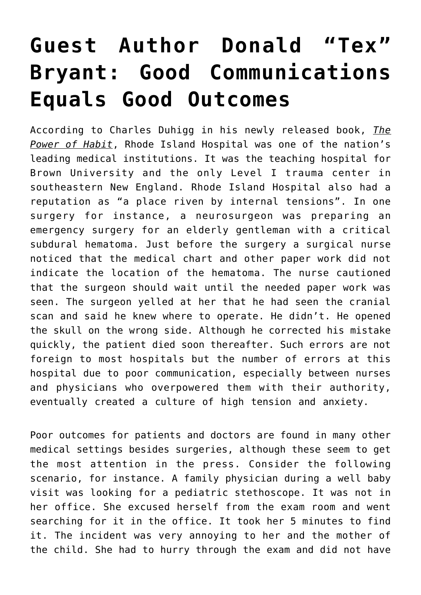## **[Guest Author Donald "Tex"](https://managemypractice.com/guest-author-donald-tex-bryant-good-communications-equals-good-outcomes/) [Bryant: Good Communications](https://managemypractice.com/guest-author-donald-tex-bryant-good-communications-equals-good-outcomes/) [Equals Good Outcomes](https://managemypractice.com/guest-author-donald-tex-bryant-good-communications-equals-good-outcomes/)**

According to Charles Duhigg in his newly released book, *The Power of Habit*, Rhode Island Hospital was one of the nation's leading medical institutions. It was the teaching hospital for Brown University and the only Level I trauma center in southeastern New England. Rhode Island Hospital also had a reputation as "a place riven by internal tensions". In one surgery for instance, a neurosurgeon was preparing an emergency surgery for an elderly gentleman with a critical subdural hematoma. Just before the surgery a surgical nurse noticed that the medical chart and other paper work did not indicate the location of the hematoma. The nurse cautioned that the surgeon should wait until the needed paper work was seen. The surgeon yelled at her that he had seen the cranial scan and said he knew where to operate. He didn't. He opened the skull on the wrong side. Although he corrected his mistake quickly, the patient died soon thereafter. Such errors are not foreign to most hospitals but the number of errors at this hospital due to poor communication, especially between nurses and physicians who overpowered them with their authority, eventually created a culture of high tension and anxiety.

Poor outcomes for patients and doctors are found in many other medical settings besides surgeries, although these seem to get the most attention in the press. Consider the following scenario, for instance. A family physician during a well baby visit was looking for a pediatric stethoscope. It was not in her office. She excused herself from the exam room and went searching for it in the office. It took her 5 minutes to find it. The incident was very annoying to her and the mother of the child. She had to hurry through the exam and did not have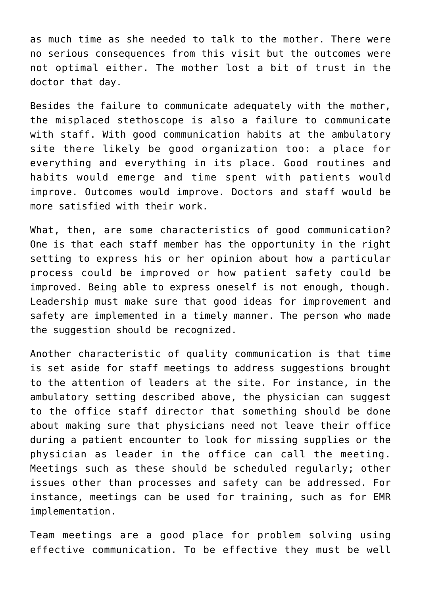as much time as she needed to talk to the mother. There were no serious consequences from this visit but the outcomes were not optimal either. The mother lost a bit of trust in the doctor that day.

Besides the failure to communicate adequately with the mother, the misplaced stethoscope is also a failure to communicate with staff. With good communication habits at the ambulatory site there likely be good organization too: a place for everything and everything in its place. Good routines and habits would emerge and time spent with patients would improve. Outcomes would improve. Doctors and staff would be more satisfied with their work.

What, then, are some characteristics of good communication? One is that each staff member has the opportunity in the right setting to express his or her opinion about how a particular process could be improved or how patient safety could be improved. Being able to express oneself is not enough, though. Leadership must make sure that good ideas for improvement and safety are implemented in a timely manner. The person who made the suggestion should be recognized.

Another characteristic of quality communication is that time is set aside for staff meetings to address suggestions brought to the attention of leaders at the site. For instance, in the ambulatory setting described above, the physician can suggest to the office staff director that something should be done about making sure that physicians need not leave their office during a patient encounter to look for missing supplies or the physician as leader in the office can call the meeting. Meetings such as these should be scheduled regularly; other issues other than processes and safety can be addressed. For instance, meetings can be used for training, such as for EMR implementation.

Team meetings are a good place for problem solving using effective communication. To be effective they must be well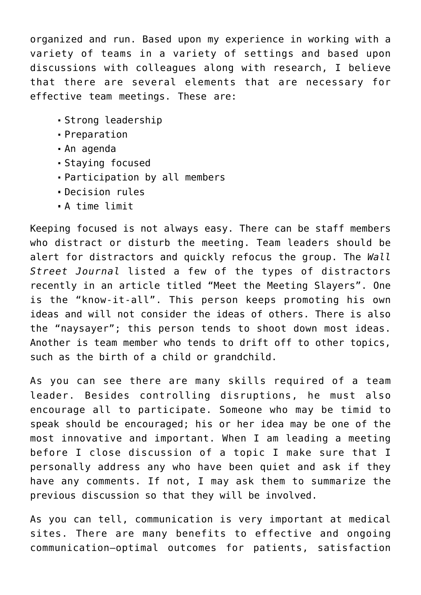organized and run. Based upon my experience in working with a variety of teams in a variety of settings and based upon discussions with colleagues along with research, I believe that there are several elements that are necessary for effective team meetings. These are:

- Strong leadership
- Preparation
- An agenda
- Staying focused
- Participation by all members
- Decision rules
- A time limit

Keeping focused is not always easy. There can be staff members who distract or disturb the meeting. Team leaders should be alert for distractors and quickly refocus the group. The *Wall Street Journal* listed a few of the types of distractors recently in an article titled "Meet the Meeting Slayers". One is the "know-it-all". This person keeps promoting his own ideas and will not consider the ideas of others. There is also the "naysayer"; this person tends to shoot down most ideas. Another is team member who tends to drift off to other topics, such as the birth of a child or grandchild.

As you can see there are many skills required of a team leader. Besides controlling disruptions, he must also encourage all to participate. Someone who may be timid to speak should be encouraged; his or her idea may be one of the most innovative and important. When I am leading a meeting before I close discussion of a topic I make sure that I personally address any who have been quiet and ask if they have any comments. If not, I may ask them to summarize the previous discussion so that they will be involved.

As you can tell, communication is very important at medical sites. There are many benefits to effective and ongoing communication—optimal outcomes for patients, satisfaction